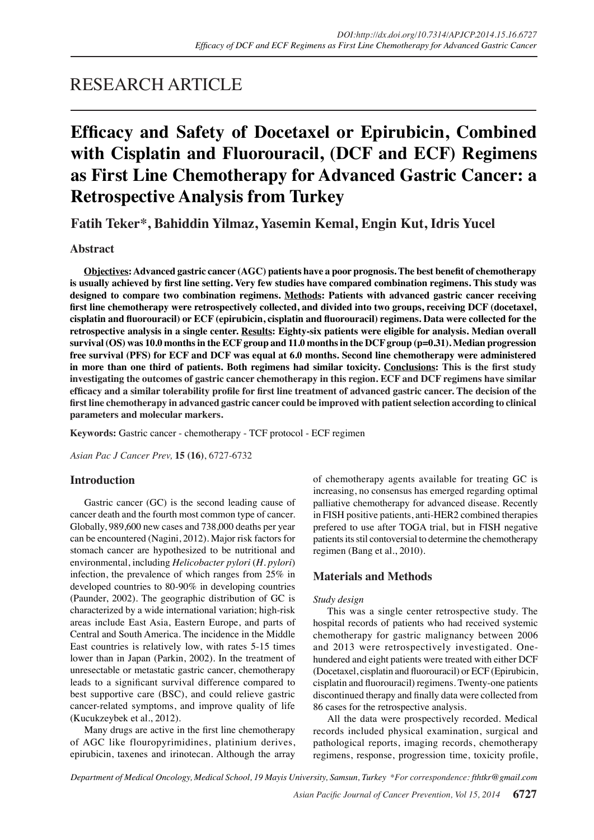# RESEARCH ARTICLE

# **Efficacy and Safety of Docetaxel or Epirubicin, Combined with Cisplatin and Fluorouracil, (DCF and ECF) Regimens as First Line Chemotherapy for Advanced Gastric Cancer: a Retrospective Analysis from Turkey**

**Fatih Teker\*, Bahiddin Yilmaz, Yasemin Kemal, Engin Kut, Idris Yucel**

# **Abstract**

**Objectives: Advanced gastric cancer (AGC) patients have a poor prognosis. The best benefit of chemotherapy is usually achieved by first line setting. Very few studies have compared combination regimens. This study was designed to compare two combination regimens. Methods: Patients with advanced gastric cancer receiving first line chemotherapy were retrospectively collected, and divided into two groups, receiving DCF (docetaxel, cisplatin and fluorouracil) or ECF (epirubicin, cisplatin and fluorouracil) regimens. Data were collected for the retrospective analysis in a single center. Results: Eighty-six patients were eligible for analysis. Median overall survival (OS) was 10.0 months in the ECF group and 11.0 months in the DCF group (p=0.31). Median progression free survival (PFS) for ECF and DCF was equal at 6.0 months. Second line chemotherapy were administered in more than one third of patients. Both regimens had similar toxicity. Conclusions: This is the first study investigating the outcomes of gastric cancer chemotherapy in this region. ECF and DCF regimens have similar efficacy and a similar tolerability profile for first line treatment of advanced gastric cancer. The decision of the first line chemotherapy in advanced gastric cancer could be improved with patient selection according to clinical parameters and molecular markers.**

**Keywords:** Gastric cancer - chemotherapy - TCF protocol - ECF regimen

*Asian Pac J Cancer Prev,* **15 (16)**, 6727-6732

# **Introduction**

Gastric cancer (GC) is the second leading cause of cancer death and the fourth most common type of cancer. Globally, 989,600 new cases and 738,000 deaths per year can be encountered (Nagini, 2012). Major risk factors for stomach cancer are hypothesized to be nutritional and environmental, including *Helicobacter pylori* (*H. pylori*) infection, the prevalence of which ranges from 25% in developed countries to 80-90% in developing countries (Paunder, 2002). The geographic distribution of GC is characterized by a wide international variation; high-risk areas include East Asia, Eastern Europe, and parts of Central and South America. The incidence in the Middle East countries is relatively low, with rates 5-15 times lower than in Japan (Parkin, 2002). In the treatment of unresectable or metastatic gastric cancer, chemotherapy leads to a significant survival difference compared to best supportive care (BSC), and could relieve gastric cancer-related symptoms, and improve quality of life (Kucukzeybek et al., 2012).

Many drugs are active in the first line chemotherapy of AGC like flouropyrimidines, platinium derives, epirubicin, taxenes and irinotecan. Although the array

of chemotherapy agents available for treating GC is increasing, no consensus has emerged regarding optimal palliative chemotherapy for advanced disease. Recently in FISH positive patients, anti-HER2 combined therapies prefered to use after TOGA trial, but in FISH negative patients its stil contoversial to determine the chemotherapy regimen (Bang et al., 2010).

# **Materials and Methods**

#### *Study design*

This was a single center retrospective study. The hospital records of patients who had received systemic chemotherapy for gastric malignancy between 2006 and 2013 were retrospectively investigated. Onehundered and eight patients were treated with either DCF (Docetaxel, cisplatin and fluorouracil) or ECF (Epirubicin, cisplatin and fluorouracil) regimens. Twenty-one patients discontinued therapy and finally data were collected from 86 cases for the retrospective analysis.

All the data were prospectively recorded. Medical records included physical examination, surgical and pathological reports, imaging records, chemotherapy regimens, response, progression time, toxicity profile,

*Department of Medical Oncology, Medical School, 19 Mayis University, Samsun, Turkey \*For correspondence: fthtkr@gmail.com*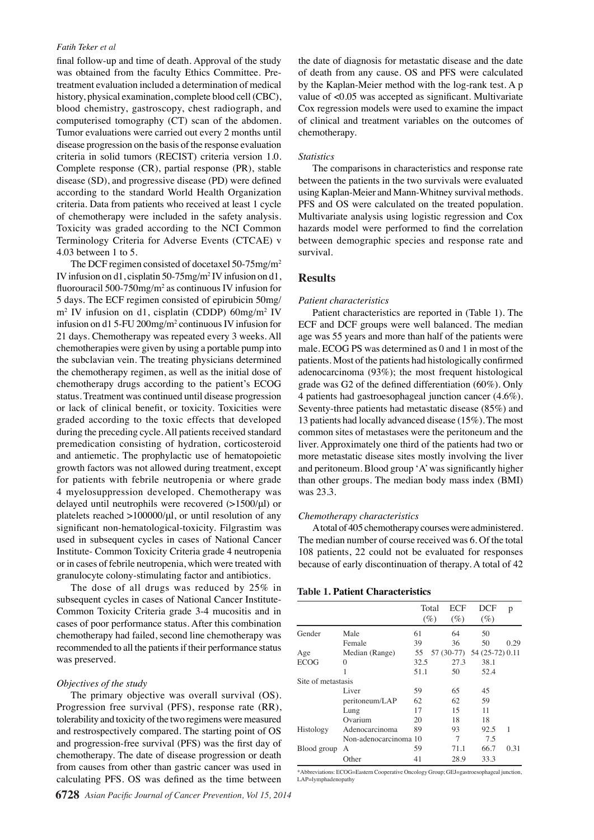#### *Fatih Teker et al*

final follow-up and time of death. Approval of the study was obtained from the faculty Ethics Committee. Pretreatment evaluation included a determination of medical history, physical examination, complete blood cell (CBC), blood chemistry, gastroscopy, chest radiograph, and computerised tomography (CT) scan of the abdomen. Tumor evaluations were carried out every 2 months until disease progression on the basis of the response evaluation criteria in solid tumors (RECIST) criteria version 1.0. Complete response (CR), partial response (PR), stable disease (SD), and progressive disease (PD) were defined according to the standard World Health Organization criteria. Data from patients who received at least 1 cycle of chemotherapy were included in the safety analysis. Toxicity was graded according to the NCI Common Terminology Criteria for Adverse Events (CTCAE) v 4.03 between 1 to 5.

The DCF regimen consisted of docetaxel 50-75mg/m2 IV infusion on d1, cisplatin 50-75mg/m2 IV infusion on d1, fluorouracil 500-750mg/m<sup>2</sup> as continuous IV infusion for 5 days. The ECF regimen consisted of epirubicin 50mg/ m2 IV infusion on d1, cisplatin (CDDP) 60mg/m2 IV infusion on d1 5-FU 200mg/m2 continuous IV infusion for 21 days. Chemotherapy was repeated every 3 weeks. All chemotherapies were given by using a portable pump into the subclavian vein. The treating physicians determined the chemotherapy regimen, as well as the initial dose of chemotherapy drugs according to the patient's ECOG status. Treatment was continued until disease progression or lack of clinical benefit, or toxicity. Toxicities were graded according to the toxic effects that developed during the preceding cycle. All patients received standard premedication consisting of hydration, corticosteroid and antiemetic. The prophylactic use of hematopoietic growth factors was not allowed during treatment, except for patients with febrile neutropenia or where grade 4 myelosuppression developed. Chemotherapy was delayed until neutrophils were recovered (>1500/μl) or platelets reached >100000/μl, or until resolution of any significant non-hematological-toxicity. Filgrastim was used in subsequent cycles in cases of National Cancer Institute- Common Toxicity Criteria grade 4 neutropenia or in cases of febrile neutropenia, which were treated with granulocyte colony-stimulating factor and antibiotics.

The dose of all drugs was reduced by 25% in subsequent cycles in cases of National Cancer Institute-Common Toxicity Criteria grade 3-4 mucositis and in cases of poor performance status. After this combination chemotherapy had failed, second line chemotherapy was recommended to all the patients if their performance status was preserved.

#### *Objectives of the study*

The primary objective was overall survival (OS). Progression free survival (PFS), response rate (RR), tolerability and toxicity of the two regimens were measured and restrospectively compared. The starting point of OS and progression-free survival (PFS) was the first day of chemotherapy. The date of disease progression or death from causes from other than gastric cancer was used in calculating PFS. OS was defined as the time between

the date of diagnosis for metastatic disease and the date of death from any cause. OS and PFS were calculated by the Kaplan-Meier method with the log-rank test. A p value of <0.05 was accepted as significant. Multivariate Cox regression models were used to examine the impact of clinical and treatment variables on the outcomes of chemotherapy.

#### *Statistics*

The comparisons in characteristics and response rate between the patients in the two survivals were evaluated using Kaplan-Meier and Mann-Whitney survival methods. PFS and OS were calculated on the treated population. Multivariate analysis using logistic regression and Cox hazards model were performed to find the correlation between demographic species and response rate and survival.

# **Results**

# *Patient characteristics*

Patient characteristics are reported in (Table 1). The ECF and DCF groups were well balanced. The median age was 55 years and more than half of the patients were male. ECOG PS was determined as 0 and 1 in most of the patients. Most of the patients had histologically confirmed adenocarcinoma (93%); the most frequent histological grade was G2 of the defined differentiation (60%). Only 4 patients had gastroesophageal junction cancer (4.6%). Seventy-three patients had metastatic disease (85%) and 13 patients had locally advanced disease (15%). The most common sites of metastases were the peritoneum and the liver. Approximately one third of the patients had two or more metastatic disease sites mostly involving the liver and peritoneum. Blood group 'A' was significantly higher than other groups. The median body mass index (BMI) was 23.3.

#### *Chemotherapy characteristics*

A total of 405 chemotherapy courses were administered. The median number of course received was 6. Of the total 108 patients, 22 could not be evaluated for responses because of early discontinuation of therapy. A total of 42

#### **Table 1. Patient Characteristics**

|                    |                       |      | Total | ECF    | <b>DCF</b>                 | р    |
|--------------------|-----------------------|------|-------|--------|----------------------------|------|
|                    |                       |      | (%)   | $(\%)$ | $(\%)$                     |      |
| Gender             | Male                  | 61   |       | 64     | 50                         |      |
|                    | Female                | 39   |       | 36     | 50                         | 0.29 |
| Age                | Median (Range)        | 55   |       |        | 57 (30-77) 54 (25-72) 0.11 |      |
| <b>ECOG</b>        | 0                     | 32.5 |       | 27.3   | 38.1                       |      |
|                    |                       | 51.1 |       | 50     | 52.4                       |      |
| Site of metastasis |                       |      |       |        |                            |      |
|                    | Liver                 | 59   |       | 65     | 45                         |      |
|                    | peritoneum/LAP        | 62   |       | 62     | 59                         |      |
|                    | Lung                  | 17   |       | 15     | 11                         |      |
|                    | Ovarium               | 20   |       | 18     | 18                         |      |
| Histology          | Adenocarcinoma        | 89   |       | 93     | 92.5                       | 1    |
|                    | Non-adenocarcinoma 10 |      |       | 7      | 7.5                        |      |
| Blood group        | А                     | 59   |       | 71.1   | 66.7                       | 0.31 |
|                    | Other                 | 41   |       | 28.9   | 33.3                       |      |

\*Abbreviations: ECOG=Eastern Cooperative Oncology Group; GEJ=gastroesophageal junction, LAP=lymphadenopathy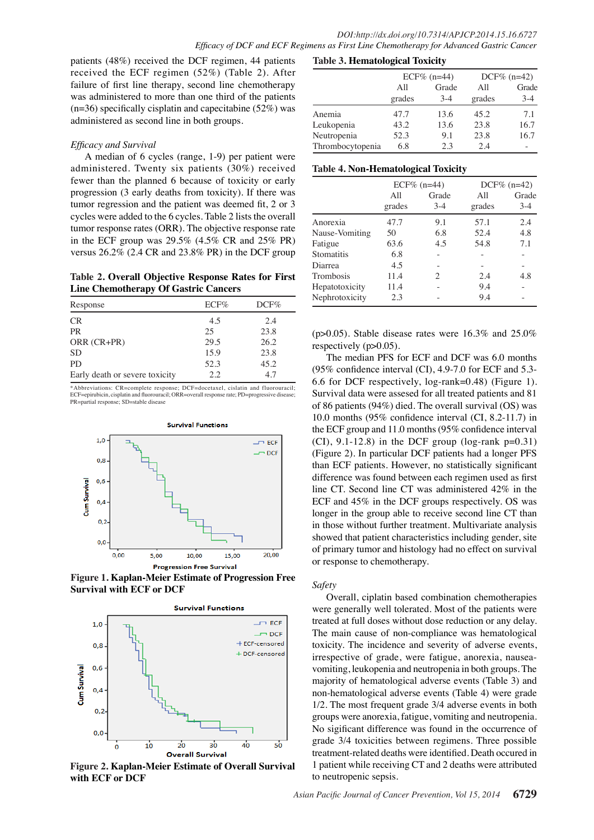patients (48%) received the DCF regimen, 44 patients received the ECF regimen (52%) (Table 2). After failure of first line therapy, second line chemotherapy was administered to more than one third of the patients  $(n=36)$  specifically cisplatin and capecitabine (52%) was administered as second line in both groups.

## *Efficacy and Survival*

A median of 6 cycles (range, 1-9) per patient were administered. Twenty six patients (30%) received fewer than the planned 6 because of toxicity or early progression (3 early deaths from toxicity). If there was tumor regression and the patient was deemed fit, 2 or 3 cycles were added to the 6 cycles. Table 2 lists the overall tumor response rates (ORR). The objective response rate in the ECF group was 29.5% (4.5% CR and 25% PR) versus 26.2% (2.4 CR and 23.8% PR) in the DCF group

**Table 2. Overall Objective Response Rates for First Line Chemotherapy Of Gastric Cancers**

| Response                       | $ECF\%$ | $DCF\%$ |
|--------------------------------|---------|---------|
| <b>CR</b>                      | 4.5     | 2.4     |
| <b>PR</b>                      | 25      | 23.8    |
| ORR (CR+PR)                    | 29.5    | 26.2    |
| <b>SD</b>                      | 15.9    | 23.8    |
| PD.                            | 52.3    | 45.2    |
| Early death or severe toxicity | 2.2     | 4.7     |

\*Abbreviations: CR=complete response; DCF=docetaxel, cislatin and fluorouracil; ECF=epirubicin, cisplatin and fluorouracil; ORR=overall response rate; PD=progressive disease; PR=partial response; SD=stable disease



**Figure 1. Kaplan-Meier Estimate of Progression Free Survival with ECF or DCF**



**Figure 2. Kaplan-Meier Estimate of Overall Survival with ECF or DCF**

|                  | $ECF\%$ (n=44) |       | $DCF% (n=42)$ |         |
|------------------|----------------|-------|---------------|---------|
|                  | All            | Grade | All           | Grade   |
|                  | grades         | $3-4$ | grades        | $3 - 4$ |
| Anemia           | 47.7           | 13.6  | 45.2          | 7.1     |
| Leukopenia       | 43.2           | 13.6  | 23.8          | 16.7    |
| Neutropenia      | 52.3           | 9.1   | 23.8          | 16.7    |
| Thrombocytopenia | 6.8            | 2.3   | 2.4           |         |

## **Table 4. Non-Hematological Toxicity**

|                | $ECF\%$ (n=44) |                | $DCF% (n=42)$ |                |  |
|----------------|----------------|----------------|---------------|----------------|--|
|                | All<br>grades  | Grade<br>$3-4$ | All<br>grades | Grade<br>$3-4$ |  |
| Anorexia       | 47.7           | 9.1            | 57.1          | 2.4            |  |
| Nause-Vomiting | 50             | 6.8            | 52.4          | 4.8            |  |
| Fatigue        | 63.6           | 4.5            | 54.8          | 7.1            |  |
| Stomatitis     | 6.8            | -              |               | -              |  |
| Diarrea        | 4.5            |                |               |                |  |
| Trombosis      | 11.4           | 2              | 2.4           | 4.8            |  |
| Hepatotoxicity | 11.4           |                | 9.4           |                |  |
| Nephrotoxicity | 2.3            |                | 9.4           |                |  |

(p $>0.05$ ). Stable disease rates were 16.3% and 25.0% respectively  $(p>0.05)$ .

The median PFS for ECF and DCF was 6.0 months (95% confidence interval (CI), 4.9-7.0 for ECF and 5.3- 6.6 for DCF respectively, log-rank=0.48) (Figure 1). Survival data were assesed for all treated patients and 81 of 86 patients (94%) died. The overall survival (OS) was 10.0 months (95% confidence interval (CI, 8.2-11.7) in the ECF group and 11.0 months (95% confidence interval  $(CI)$ , 9.1-12.8) in the DCF group (log-rank  $p=0.31$ ) (Figure 2). In particular DCF patients had a longer PFS than ECF patients. However, no statistically significant difference was found between each regimen used as first line CT. Second line CT was administered 42% in the ECF and 45% in the DCF groups respectively. OS was longer in the group able to receive second line CT than in those without further treatment. Multivariate analysis showed that patient characteristics including gender, site of primary tumor and histology had no effect on survival or response to chemotherapy.

#### *Safety*

Overall, ciplatin based combination chemotherapies were generally well tolerated. Most of the patients were treated at full doses without dose reduction or any delay. The main cause of non-compliance was hematological toxicity. The incidence and severity of adverse events, irrespective of grade, were fatigue, anorexia, nauseavomiting, leukopenia and neutropenia in both groups. The majority of hematological adverse events (Table 3) and non-hematological adverse events (Table 4) were grade 1/2. The most frequent grade 3/4 adverse events in both groups were anorexia, fatigue, vomiting and neutropenia. No sigificant difference was found in the occurrence of grade 3/4 toxicities between regimens. Three possible treatment-related deaths were identified. Death occured in 1 patient while receiving CT and 2 deaths were attributed to neutropenic sepsis.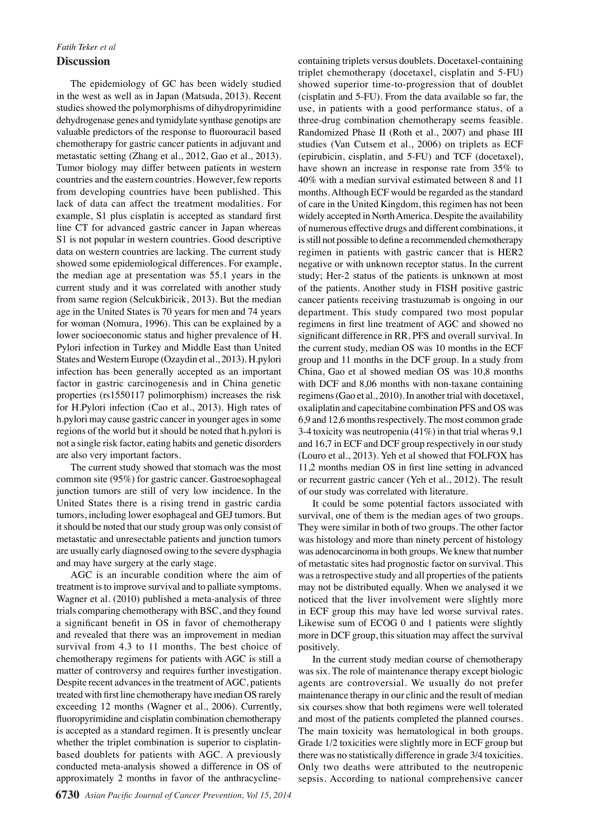# *Fatih Teker et al* **Discussion**

The epidemiology of GC has been widely studied in the west as well as in Japan (Matsuda, 2013). Recent studies showed the polymorphisms of dihydropyrimidine dehydrogenase genes and tymidylate synthase genotips are valuable predictors of the response to fluorouracil based chemotherapy for gastric cancer patients in adjuvant and metastatic setting (Zhang et al., 2012, Gao et al., 2013). Tumor biology may differ between patients in western countries and the eastern countries. However, few reports from developing countries have been published. This lack of data can affect the treatment modalities. For example, S1 plus cisplatin is accepted as standard first line CT for advanced gastric cancer in Japan whereas S1 is not popular in western countries. Good descriptive data on western countries are lacking. The current study showed some epidemiological differences. For example, the median age at presentation was 55.1 years in the current study and it was correlated with another study from same region (Selcukbiricik, 2013). But the median age in the United States is 70 years for men and 74 years for woman (Nomura, 1996). This can be explained by a lower socioeconomic status and higher prevalence of H. Pylori infection in Turkey and Middle East than United States and Western Europe (Ozaydin et al., 2013). H.pylori infection has been generally accepted as an important factor in gastric carcinogenesis and in China genetic properties (rs1550117 polimorphism) increases the risk for H.Pylori infection (Cao et al., 2013). High rates of h.pylori may cause gastric cancer in younger ages in some regions of the world but it should be noted that h.pylori is not a single risk factor, eating habits and genetic disorders are also very important factors.

The current study showed that stomach was the most common site (95%) for gastric cancer. Gastroesophageal junction tumors are still of very low incidence. In the United States there is a rising trend in gastric cardia tumors, including lower esophageal and GEJ tumors. But it should be noted that our study group was only consist of metastatic and unresectable patients and junction tumors are usually early diagnosed owing to the severe dysphagia and may have surgery at the early stage.

AGC is an incurable condition where the aim of treatment is to improve survival and to palliate symptoms. Wagner et al. (2010) published a meta-analysis of three trials comparing chemotherapy with BSC, and they found a significant benefit in OS in favor of chemotherapy and revealed that there was an improvement in median survival from 4.3 to 11 months. The best choice of chemotherapy regimens for patients with AGC is still a matter of controversy and requires further investigation. Despite recent advances in the treatment of AGC, patients treated with first line chemotherapy have median OS rarely exceeding 12 months (Wagner et al., 2006). Currently, fluoropyrimidine and cisplatin combination chemotherapy is accepted as a standard regimen. It is presently unclear whether the triplet combination is superior to cisplatinbased doublets for patients with AGC. A previously conducted meta-analysis showed a difference in OS of approximately 2 months in favor of the anthracyclinecontaining triplets versus doublets. Docetaxel-containing triplet chemotherapy (docetaxel, cisplatin and 5-FU) showed superior time-to-progression that of doublet (cisplatin and 5-FU). From the data available so far, the use, in patients with a good performance status, of a three-drug combination chemotherapy seems feasible. Randomized Phase II (Roth et al., 2007) and phase III studies (Van Cutsem et al., 2006) on triplets as ECF (epirubicin, cisplatin, and 5-FU) and TCF (docetaxel), have shown an increase in response rate from 35% to 40% with a median survival estimated between 8 and 11 months. Although ECF would be regarded as the standard of care in the United Kingdom, this regimen has not been widely accepted in North America. Despite the availability of numerous effective drugs and different combinations, it is still not possible to define a recommended chemotherapy regimen in patients with gastric cancer that is HER2 negative or with unknown receptor status. In the current study; Her-2 status of the patients is unknown at most of the patients. Another study in FISH positive gastric cancer patients receiving trastuzumab is ongoing in our department. This study compared two most popular regimens in first line treatment of AGC and showed no significant difference in RR, PFS and overall survival. In the current study, median OS was 10 months in the ECF group and 11 months in the DCF group. In a study from China, Gao et al showed median OS was 10,8 months with DCF and 8,06 months with non-taxane containing regimens (Gao et al., 2010). In another trial with docetaxel, oxaliplatin and capecitabine combination PFS and OS was 6,9 and 12,6 months respectively. The most common grade 3-4 toxicity was neutropenia (41%) in that trial wheras 9,1 and 16,7 in ECF and DCF group respectively in our study (Louro et al., 2013). Yeh et al showed that FOLFOX has 11,2 months median OS in first line setting in advanced or recurrent gastric cancer (Yeh et al., 2012). The result of our study was correlated with literature.

It could be some potential factors associated with survival, one of them is the median ages of two groups. They were similar in both of two groups. The other factor was histology and more than ninety percent of histology was adenocarcinoma in both groups. We knew that number of metastatic sites had prognostic factor on survival. This was a retrospective study and all properties of the patients may not be distributed equally. When we analysed it we noticed that the liver involvement were slightly more in ECF group this may have led worse survival rates. Likewise sum of ECOG 0 and 1 patients were slightly more in DCF group, this situation may affect the survival positively.

In the current study median course of chemotherapy was six. The role of maintenance therapy except biologic agents are controversial. We usually do not prefer maintenance therapy in our clinic and the result of median six courses show that both regimens were well tolerated and most of the patients completed the planned courses. The main toxicity was hematological in both groups. Grade 1/2 toxicities were slightly more in ECF group but there was no statistically difference in grade 3/4 toxicities. Only two deaths were attributed to the neutropenic sepsis. According to national comprehensive cancer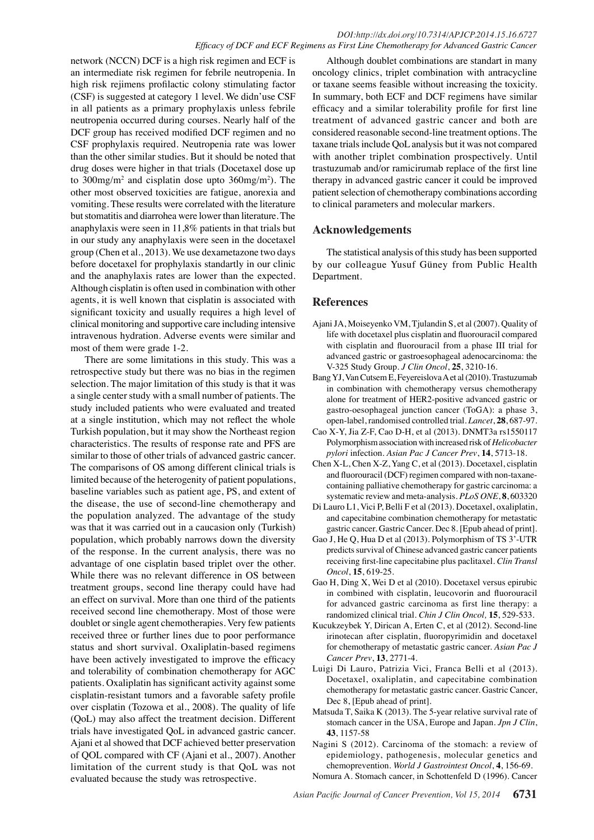network (NCCN) DCF is a high risk regimen and ECF is an intermediate risk regimen for febrile neutropenia. In high risk rejimens profilactic colony stimulating factor (CSF) is suggested at category 1 level. We didn'use CSF in all patients as a primary prophylaxis unless febrile neutropenia occurred during courses. Nearly half of the DCF group has received modified DCF regimen and no CSF prophylaxis required. Neutropenia rate was lower than the other similar studies. But it should be noted that drug doses were higher in that trials (Docetaxel dose up to  $300$ mg/m<sup>2</sup> and cisplatin dose upto  $360$ mg/m<sup>2</sup>). The other most observed toxicities are fatigue, anorexia and vomiting. These results were correlated with the literature but stomatitis and diarrohea were lower than literature. The anaphylaxis were seen in 11,8% patients in that trials but in our study any anaphylaxis were seen in the docetaxel group (Chen et al., 2013). We use dexametazone two days before docetaxel for prophylaxis standartly in our clinic and the anaphylaxis rates are lower than the expected. Although cisplatin is often used in combination with other agents, it is well known that cisplatin is associated with significant toxicity and usually requires a high level of clinical monitoring and supportive care including intensive intravenous hydration. Adverse events were similar and most of them were grade 1-2.

There are some limitations in this study. This was a retrospective study but there was no bias in the regimen selection. The major limitation of this study is that it was a single center study with a small number of patients. The study included patients who were evaluated and treated at a single institution, which may not reflect the whole Turkish population, but it may show the Northeast region characteristics. The results of response rate and PFS are similar to those of other trials of advanced gastric cancer. The comparisons of OS among different clinical trials is limited because of the heterogenity of patient populations, baseline variables such as patient age, PS, and extent of the disease, the use of second-line chemotherapy and the population analyzed. The advantage of the study was that it was carried out in a caucasion only (Turkish) population, which probably narrows down the diversity of the response. In the current analysis, there was no advantage of one cisplatin based triplet over the other. While there was no relevant difference in OS between treatment groups, second line therapy could have had an effect on survival. More than one third of the patients received second line chemotherapy. Most of those were doublet or single agent chemotherapies. Very few patients received three or further lines due to poor performance status and short survival. Oxaliplatin-based regimens have been actively investigated to improve the efficacy and tolerability of combination chemotherapy for AGC patients. Oxaliplatin has significant activity against some cisplatin-resistant tumors and a favorable safety profile over cisplatin (Tozowa et al., 2008). The quality of life (QoL) may also affect the treatment decision. Different trials have investigated QoL in advanced gastric cancer. Ajani et al showed that DCF achieved better preservation of QOL compared with CF (Ajani et al., 2007). Another limitation of the current study is that QoL was not evaluated because the study was retrospective.

Although doublet combinations are standart in many oncology clinics, triplet combination with antracycline or taxane seems feasible without increasing the toxicity. In summary, both ECF and DCF regimens have similar efficacy and a similar tolerability profile for first line treatment of advanced gastric cancer and both are considered reasonable second-line treatment options. The taxane trials include QoL analysis but it was not compared with another triplet combination prospectively. Until trastuzumab and/or ramicirumab replace of the first line therapy in advanced gastric cancer it could be improved patient selection of chemotherapy combinations according to clinical parameters and molecular markers.

# **Acknowledgements**

The statistical analysis of this study has been supported by our colleague Yusuf Güney from Public Health Department.

# **References**

- Ajani JA, Moiseyenko VM, Tjulandin S, et al (2007). Quality of life with docetaxel plus cisplatin and fluorouracil compared with cisplatin and fluorouracil from a phase III trial for advanced gastric or gastroesophageal adenocarcinoma: the V-325 Study Group. *J Clin Oncol*, **25**, 3210-16.
- Bang YJ, Van Cutsem E, Feyereislova A et al (2010). Trastuzumab in combination with chemotherapy versus chemotherapy alone for treatment of HER2-positive advanced gastric or gastro-oesophageal junction cancer (ToGA): a phase 3, open-label, randomised controlled trial. *Lancet*, **28**, 687-97.
- Cao X-Y, Jia Z-F, Cao D-H, et al (2013). DNMT3a rs1550117 Polymorphism association with increased risk of *Helicobacter pylori* infection. *Asian Pac J Cancer Prev*, **14**, 5713-18.
- Chen X-L, Chen X-Z, Yang C, et al (2013). Docetaxel, cisplatin and fluorouracil (DCF) regimen compared with non-taxanecontaining palliative chemotherapy for gastric carcinoma: a systematic review and meta-analysis. *PLoS ONE*, **8**, 603320
- Di Lauro L1, Vici P, Belli F et al (2013). Docetaxel, oxaliplatin, and capecitabine combination chemotherapy for metastatic gastric cancer. Gastric Cancer. Dec 8. [Epub ahead of print].
- Gao J, He Q, Hua D et al (2013). Polymorphism of TS 3'-UTR predicts survival of Chinese advanced gastric cancer patients receiving first-line capecitabine plus paclitaxel. *Clin Transl Oncol*, **15**, 619-25.
- Gao H, Ding X, Wei D et al (2010). Docetaxel versus epirubic in combined with cisplatin, leucovorin and fluorouracil for advanced gastric carcinoma as first line therapy: a randomized clinical trial. *Chin J Clin Oncol,* **15**, 529-533.
- Kucukzeybek Y, Dirican A, Erten C, et al (2012). Second-line irinotecan after cisplatin, fluoropyrimidin and docetaxel for chemotherapy of metastatic gastric cancer. *Asian Pac J Cancer Prev*, **13**, 2771-4.
- Luigi Di Lauro, Patrizia Vici, Franca Belli et al (2013). Docetaxel, oxaliplatin, and capecitabine combination chemotherapy for metastatic gastric cancer. Gastric Cancer, Dec 8, [Epub ahead of print].
- Matsuda T, Saika K (2013). The 5-year relative survival rate of stomach cancer in the USA, Europe and Japan. *Jpn J Clin*, **43**, 1157-58
- Nagini S (2012). Carcinoma of the stomach: a review of epidemiology, pathogenesis, molecular genetics and chemoprevention. *World J Gastrointest Oncol*, **4**, 156-69.

Nomura A. Stomach cancer, in Schottenfeld D (1996). Cancer